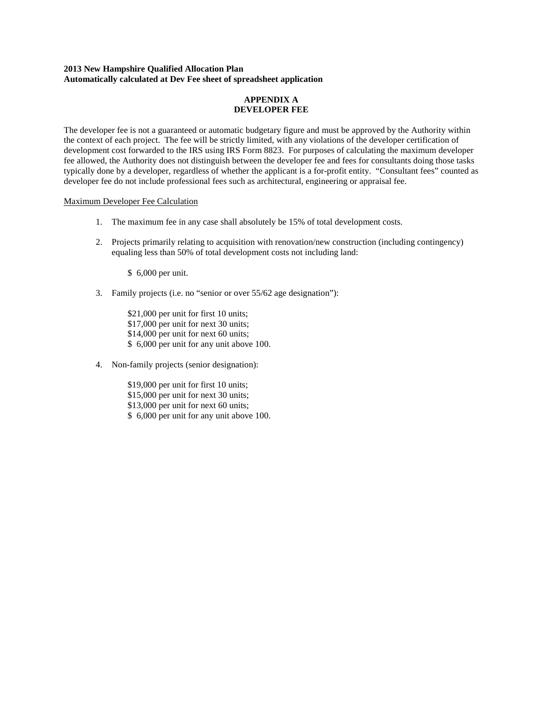## **2013 New Hampshire Qualified Allocation Plan Automatically calculated at Dev Fee sheet of spreadsheet application**

## **APPENDIX A DEVELOPER FEE**

The developer fee is not a guaranteed or automatic budgetary figure and must be approved by the Authority within the context of each project. The fee will be strictly limited, with any violations of the developer certification of development cost forwarded to the IRS using IRS Form 8823. For purposes of calculating the maximum developer fee allowed, the Authority does not distinguish between the developer fee and fees for consultants doing those tasks typically done by a developer, regardless of whether the applicant is a for-profit entity. "Consultant fees" counted as developer fee do not include professional fees such as architectural, engineering or appraisal fee.

### Maximum Developer Fee Calculation

- 1. The maximum fee in any case shall absolutely be 15% of total development costs.
- 2. Projects primarily relating to acquisition with renovation/new construction (including contingency) equaling less than 50% of total development costs not including land:

\$ 6,000 per unit.

3. Family projects (i.e. no "senior or over 55/62 age designation"):

\$21,000 per unit for first 10 units; \$17,000 per unit for next 30 units; \$14,000 per unit for next 60 units; \$ 6,000 per unit for any unit above 100.

4. Non-family projects (senior designation):

\$19,000 per unit for first 10 units; \$15,000 per unit for next 30 units; \$13,000 per unit for next 60 units; \$ 6,000 per unit for any unit above 100.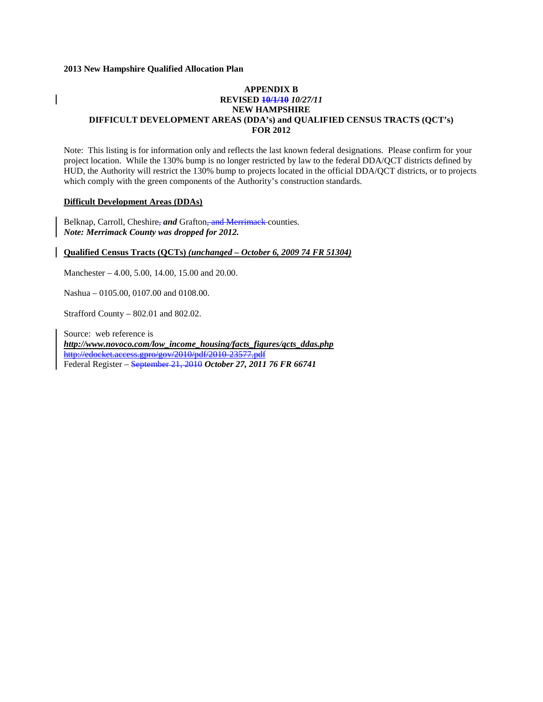## **APPENDIX B REVISED 10/1/10** *10/27/11* **NEW HAMPSHIRE DIFFICULT DEVELOPMENT AREAS (DDA's) and QUALIFIED CENSUS TRACTS (QCT's) FOR 2012**

Note: This listing is for information only and reflects the last known federal designations. Please confirm for your project location. While the 130% bump is no longer restricted by law to the federal DDA/QCT districts defined by HUD, the Authority will restrict the 130% bump to projects located in the official DDA/QCT districts, or to projects which comply with the green components of the Authority's construction standards.

### **Difficult Development Areas (DDAs)**

Belknap, Carroll, Cheshire, *and* Grafton, and Merrimack counties. *Note: Merrimack County was dropped for 2012.*

#### **Qualified Census Tracts (QCTs)** *(unchanged – October 6, 2009 74 FR 51304)*

Manchester – 4.00, 5.00, 14.00, 15.00 and 20.00.

Nashua – 0105.00, 0107.00 and 0108.00.

Strafford County – 802.01 and 802.02.

Source: web reference is *[http://www.novoco.com/low\\_income\\_housing/facts\\_figures/qcts\\_ddas.php](http://www.novoco.com/low_income_housing/facts_figures/qcts_ddas.php)* http://edocket.access.gpro/gov/2010/pdf/2010-23577.pdf Federal Register – September 21, 2010 *October 27, 2011 76 FR 66741*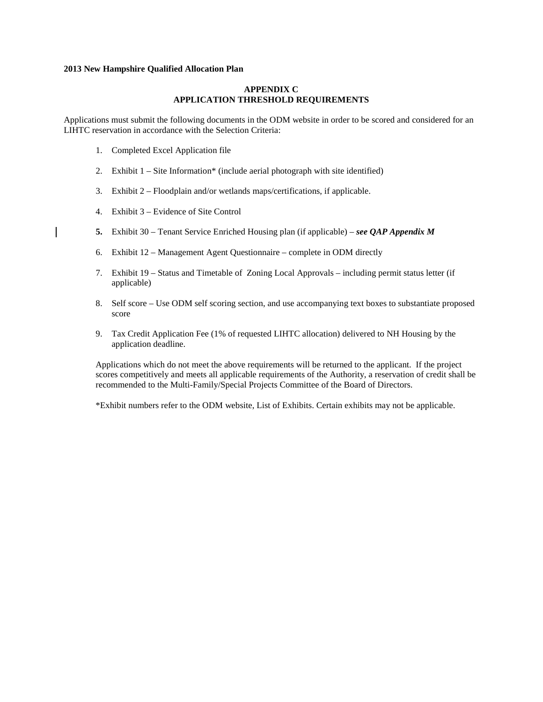### **APPENDIX C APPLICATION THRESHOLD REQUIREMENTS**

Applications must submit the following documents in the ODM website in order to be scored and considered for an LIHTC reservation in accordance with the Selection Criteria:

- 1. Completed Excel Application file
- 2. Exhibit 1 Site Information\* (include aerial photograph with site identified)
- 3. Exhibit 2 Floodplain and/or wetlands maps/certifications, if applicable.
- 4. Exhibit 3 Evidence of Site Control

 $\overline{\phantom{a}}$ 

- **5.** Exhibit 30 Tenant Service Enriched Housing plan (if applicable) *– see QAP Appendix M*
- 6. Exhibit 12 Management Agent Questionnaire complete in ODM directly
- 7. Exhibit 19 Status and Timetable of Zoning Local Approvals including permit status letter (if applicable)
- 8. Self score Use ODM self scoring section, and use accompanying text boxes to substantiate proposed score
- 9. Tax Credit Application Fee (1% of requested LIHTC allocation) delivered to NH Housing by the application deadline.

Applications which do not meet the above requirements will be returned to the applicant. If the project scores competitively and meets all applicable requirements of the Authority, a reservation of credit shall be recommended to the Multi-Family/Special Projects Committee of the Board of Directors.

\*Exhibit numbers refer to the ODM website, List of Exhibits. Certain exhibits may not be applicable.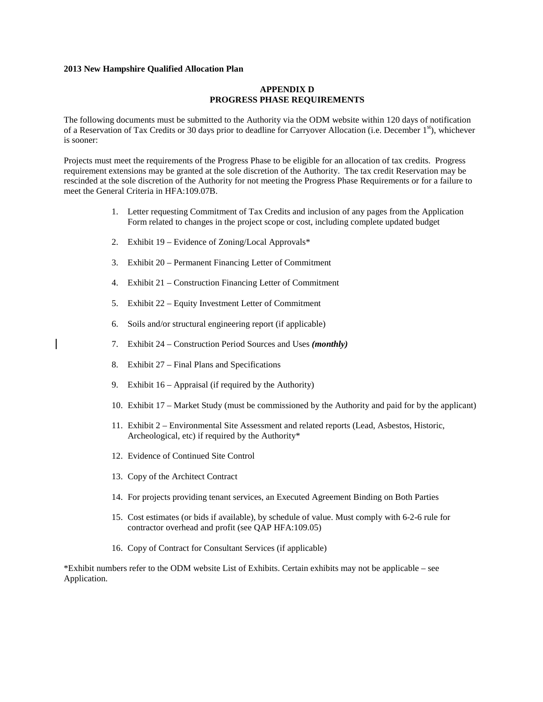### **APPENDIX D PROGRESS PHASE REQUIREMENTS**

The following documents must be submitted to the Authority via the ODM website within 120 days of notification of a Reservation of Tax Credits or 30 days prior to deadline for Carryover Allocation (i.e. December 1st), whichever is sooner:

Projects must meet the requirements of the Progress Phase to be eligible for an allocation of tax credits. Progress requirement extensions may be granted at the sole discretion of the Authority. The tax credit Reservation may be rescinded at the sole discretion of the Authority for not meeting the Progress Phase Requirements or for a failure to meet the General Criteria in HFA:109.07B.

- 1. Letter requesting Commitment of Tax Credits and inclusion of any pages from the Application Form related to changes in the project scope or cost, including complete updated budget
- 2. Exhibit 19 Evidence of Zoning/Local Approvals\*
- 3. Exhibit 20 Permanent Financing Letter of Commitment
- 4. Exhibit 21 Construction Financing Letter of Commitment
- 5. Exhibit 22 Equity Investment Letter of Commitment
- 6. Soils and/or structural engineering report (if applicable)
- 7. Exhibit 24 Construction Period Sources and Uses *(monthly)*
- 8. Exhibit 27 Final Plans and Specifications

 $\overline{\phantom{a}}$ 

- 9. Exhibit 16 Appraisal (if required by the Authority)
- 10. Exhibit 17 Market Study (must be commissioned by the Authority and paid for by the applicant)
- 11. Exhibit 2 Environmental Site Assessment and related reports (Lead, Asbestos, Historic, Archeological, etc) if required by the Authority\*
- 12. Evidence of Continued Site Control
- 13. Copy of the Architect Contract
- 14. For projects providing tenant services, an Executed Agreement Binding on Both Parties
- 15. Cost estimates (or bids if available), by schedule of value. Must comply with 6-2-6 rule for contractor overhead and profit (see QAP HFA:109.05)
- 16. Copy of Contract for Consultant Services (if applicable)

\*Exhibit numbers refer to the ODM website List of Exhibits. Certain exhibits may not be applicable – see Application.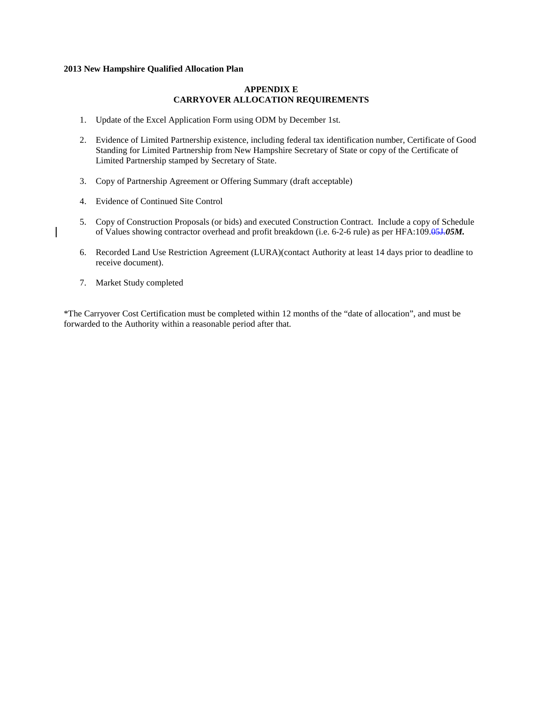### **APPENDIX E CARRYOVER ALLOCATION REQUIREMENTS**

- 1. Update of the Excel Application Form using ODM by December 1st.
- 2. Evidence of Limited Partnership existence, including federal tax identification number, Certificate of Good Standing for Limited Partnership from New Hampshire Secretary of State or copy of the Certificate of Limited Partnership stamped by Secretary of State.
- 3. Copy of Partnership Agreement or Offering Summary (draft acceptable)
- 4. Evidence of Continued Site Control
- 5. Copy of Construction Proposals (or bids) and executed Construction Contract. Include a copy of Schedule of Values showing contractor overhead and profit breakdown (i.e. 6-2-6 rule) as per HFA:109.05J.*05M.*
- 6. Recorded Land Use Restriction Agreement (LURA)(contact Authority at least 14 days prior to deadline to receive document).
- 7. Market Study completed

 $\overline{\phantom{a}}$ 

\*The Carryover Cost Certification must be completed within 12 months of the "date of allocation", and must be forwarded to the Authority within a reasonable period after that.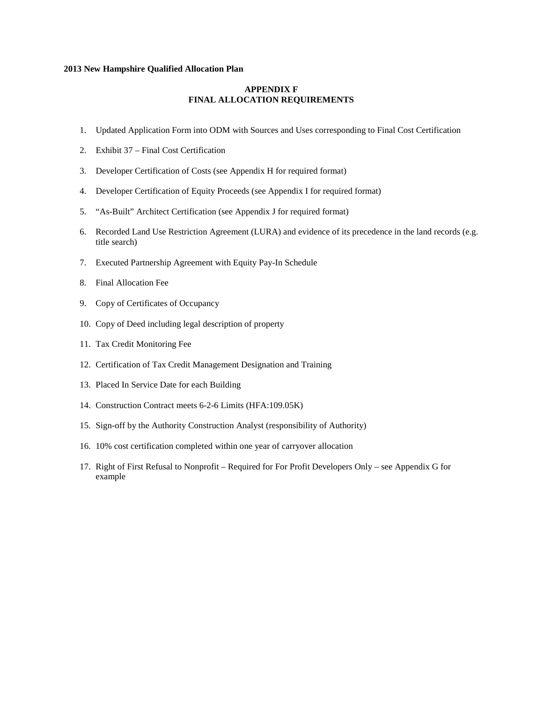### **APPENDIX F FINAL ALLOCATION REQUIREMENTS**

- 1. Updated Application Form into ODM with Sources and Uses corresponding to Final Cost Certification
- 2. Exhibit 37 Final Cost Certification
- 3. Developer Certification of Costs (see Appendix H for required format)
- 4. Developer Certification of Equity Proceeds (see Appendix I for required format)
- 5. "As-Built" Architect Certification (see Appendix J for required format)
- 6. Recorded Land Use Restriction Agreement (LURA) and evidence of its precedence in the land records (e.g. title search)
- 7. Executed Partnership Agreement with Equity Pay-In Schedule
- 8. Final Allocation Fee
- 9. Copy of Certificates of Occupancy
- 10. Copy of Deed including legal description of property
- 11. Tax Credit Monitoring Fee
- 12. Certification of Tax Credit Management Designation and Training
- 13. Placed In Service Date for each Building
- 14. Construction Contract meets 6-2-6 Limits (HFA:109.05K)
- 15. Sign-off by the Authority Construction Analyst (responsibility of Authority)
- 16. 10% cost certification completed within one year of carryover allocation
- 17. Right of First Refusal to Nonprofit Required for For Profit Developers Only see Appendix G for example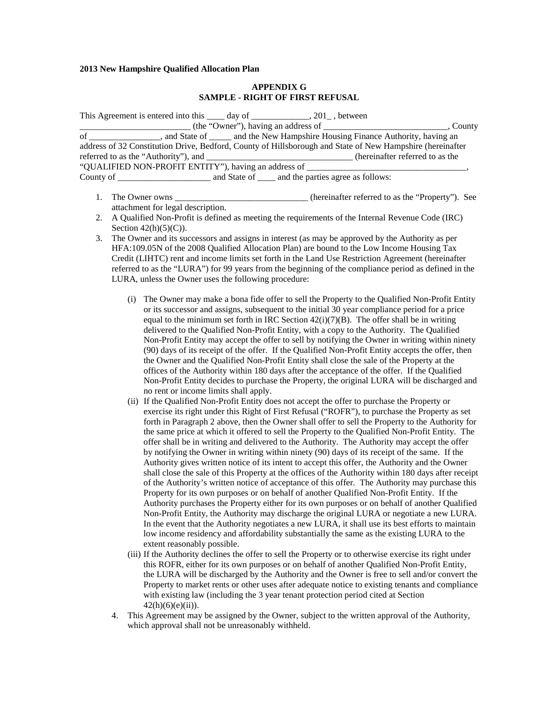## **APPENDIX G SAMPLE - RIGHT OF FIRST REFUSAL**

| This Agreement is entered into this $\frac{1}{\sqrt{2}}$ day of $\frac{1}{\sqrt{2}}$ , between             |  |                                                                                                           |
|------------------------------------------------------------------------------------------------------------|--|-----------------------------------------------------------------------------------------------------------|
|                                                                                                            |  | , County                                                                                                  |
| of _____________________, and State of ________ and the New Hampshire Housing Finance Authority, having an |  |                                                                                                           |
|                                                                                                            |  | address of 32 Constitution Drive, Bedford, County of Hillsborough and State of New Hampshire (hereinafter |
| referred to as the "Authority"), and _______________________________(hereinafter referred to as the        |  |                                                                                                           |
| "QUALIFIED NON-PROFIT ENTITY"), having an address of ___________________________                           |  |                                                                                                           |
| County of and State of and the parties agree as follows:                                                   |  |                                                                                                           |

- 1. The Owner owns the compact of the own state of the instructure of the term of the term of the "Property"). See attachment for legal description.
- 2. A Qualified Non-Profit is defined as meeting the requirements of the Internal Revenue Code (IRC) Section  $42(h)(5)(C)$ .
- 3. The Owner and its successors and assigns in interest (as may be approved by the Authority as per HFA:109.05N of the 2008 Qualified Allocation Plan) are bound to the Low Income Housing Tax Credit (LIHTC) rent and income limits set forth in the Land Use Restriction Agreement (hereinafter referred to as the "LURA") for 99 years from the beginning of the compliance period as defined in the LURA, unless the Owner uses the following procedure:
	- (i) The Owner may make a bona fide offer to sell the Property to the Qualified Non-Profit Entity or its successor and assigns, subsequent to the initial 30 year compliance period for a price equal to the minimum set forth in IRC Section  $42(i)(7)(B)$ . The offer shall be in writing delivered to the Qualified Non-Profit Entity, with a copy to the Authority. The Qualified Non-Profit Entity may accept the offer to sell by notifying the Owner in writing within ninety (90) days of its receipt of the offer. If the Qualified Non-Profit Entity accepts the offer, then the Owner and the Qualified Non-Profit Entity shall close the sale of the Property at the offices of the Authority within 180 days after the acceptance of the offer. If the Qualified Non-Profit Entity decides to purchase the Property, the original LURA will be discharged and no rent or income limits shall apply.
	- (ii) If the Qualified Non-Profit Entity does not accept the offer to purchase the Property or exercise its right under this Right of First Refusal ("ROFR"), to purchase the Property as set forth in Paragraph 2 above, then the Owner shall offer to sell the Property to the Authority for the same price at which it offered to sell the Property to the Qualified Non-Profit Entity. The offer shall be in writing and delivered to the Authority. The Authority may accept the offer by notifying the Owner in writing within ninety (90) days of its receipt of the same. If the Authority gives written notice of its intent to accept this offer, the Authority and the Owner shall close the sale of this Property at the offices of the Authority within 180 days after receipt of the Authority's written notice of acceptance of this offer. The Authority may purchase this Property for its own purposes or on behalf of another Qualified Non-Profit Entity. If the Authority purchases the Property either for its own purposes or on behalf of another Qualified Non-Profit Entity, the Authority may discharge the original LURA or negotiate a new LURA. In the event that the Authority negotiates a new LURA, it shall use its best efforts to maintain low income residency and affordability substantially the same as the existing LURA to the extent reasonably possible.
	- (iii) If the Authority declines the offer to sell the Property or to otherwise exercise its right under this ROFR, either for its own purposes or on behalf of another Qualified Non-Profit Entity, the LURA will be discharged by the Authority and the Owner is free to sell and/or convert the Property to market rents or other uses after adequate notice to existing tenants and compliance with existing law (including the 3 year tenant protection period cited at Section  $42(h)(6)(e)(ii)$ ).
	- 4. This Agreement may be assigned by the Owner, subject to the written approval of the Authority, which approval shall not be unreasonably withheld.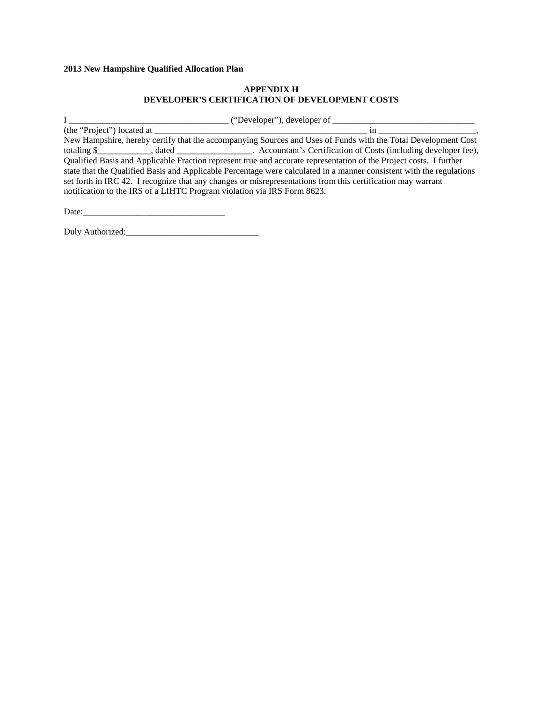## **APPENDIX H DEVELOPER'S CERTIFICATION OF DEVELOPMENT COSTS**

| ("Developer"), developer of                                                                                          |  |  |  |  |  |  |
|----------------------------------------------------------------------------------------------------------------------|--|--|--|--|--|--|
| 1n                                                                                                                   |  |  |  |  |  |  |
| New Hampshire, hereby certify that the accompanying Sources and Uses of Funds with the Total Development Cost        |  |  |  |  |  |  |
| totaling \$ _____________, dated ___________________. Accountant's Certification of Costs (including developer fee), |  |  |  |  |  |  |
| Qualified Basis and Applicable Fraction represent true and accurate representation of the Project costs. I further   |  |  |  |  |  |  |
| state that the Qualified Basis and Applicable Percentage were calculated in a manner consistent with the regulations |  |  |  |  |  |  |
| set forth in IRC 42. I recognize that any changes or misrepresentations from this certification may warrant          |  |  |  |  |  |  |
| notification to the IRS of a LIHTC Program violation via IRS Form 8623.                                              |  |  |  |  |  |  |
|                                                                                                                      |  |  |  |  |  |  |

Date:\_\_\_\_\_\_\_\_\_\_\_\_\_\_\_\_\_\_\_\_\_\_\_\_\_\_\_\_\_\_\_\_

Duly Authorized:\_\_\_\_\_\_\_\_\_\_\_\_\_\_\_\_\_\_\_\_\_\_\_\_\_\_\_\_\_\_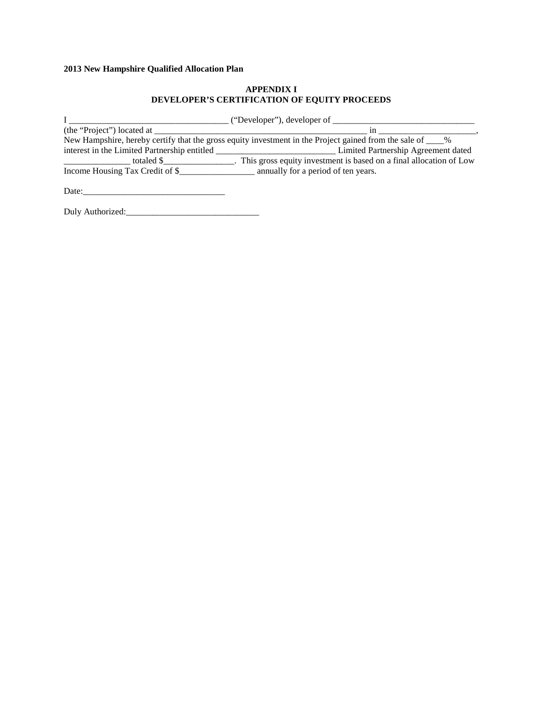## **APPENDIX I DEVELOPER'S CERTIFICATION OF EQUITY PROCEEDS**

|                                              | ("Developer"), developer of __                                                                              |
|----------------------------------------------|-------------------------------------------------------------------------------------------------------------|
| (the "Project") located at                   | 1n                                                                                                          |
|                                              | New Hampshire, hereby certify that the gross equity investment in the Project gained from the sale of ____% |
| interest in the Limited Partnership entitled | Limited Partnership Agreement dated                                                                         |
| totaled \$                                   | . This gross equity investment is based on a final allocation of Low                                        |
| Income Housing Tax Credit of \$              | annually for a period of ten years.                                                                         |

| Date: |     |
|-------|-----|
|       | ___ |

Duly Authorized:\_\_\_\_\_\_\_\_\_\_\_\_\_\_\_\_\_\_\_\_\_\_\_\_\_\_\_\_\_\_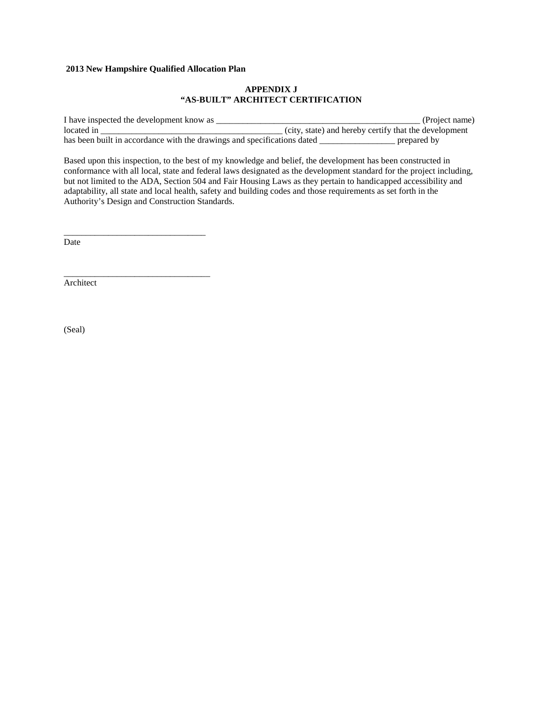\_\_\_\_\_\_\_\_\_\_\_\_\_\_\_\_\_\_\_\_\_\_\_\_\_\_\_\_\_\_\_\_

\_\_\_\_\_\_\_\_\_\_\_\_\_\_\_\_\_\_\_\_\_\_\_\_\_\_\_\_\_\_\_\_\_

### **APPENDIX J "AS-BUILT" ARCHITECT CERTIFICATION**

I have inspected the development know as \_\_\_\_\_\_\_\_\_\_\_\_\_\_\_\_\_\_\_\_\_\_\_\_\_\_\_\_\_\_\_\_\_\_\_\_\_\_\_\_\_\_\_\_\_\_ (Project name) located in \_\_\_\_\_\_\_\_\_\_\_\_\_\_\_\_\_\_\_\_\_\_\_\_\_\_\_\_\_\_\_\_\_\_\_\_\_\_\_\_\_ (city, state) and hereby certify that the development has been built in accordance with the drawings and specifications dated \_\_\_\_\_\_\_\_\_\_\_\_\_\_\_\_\_\_\_\_\_ prepared by

Based upon this inspection, to the best of my knowledge and belief, the development has been constructed in conformance with all local, state and federal laws designated as the development standard for the project including, but not limited to the ADA, Section 504 and Fair Housing Laws as they pertain to handicapped accessibility and adaptability, all state and local health, safety and building codes and those requirements as set forth in the Authority's Design and Construction Standards.

Date

Architect

(Seal)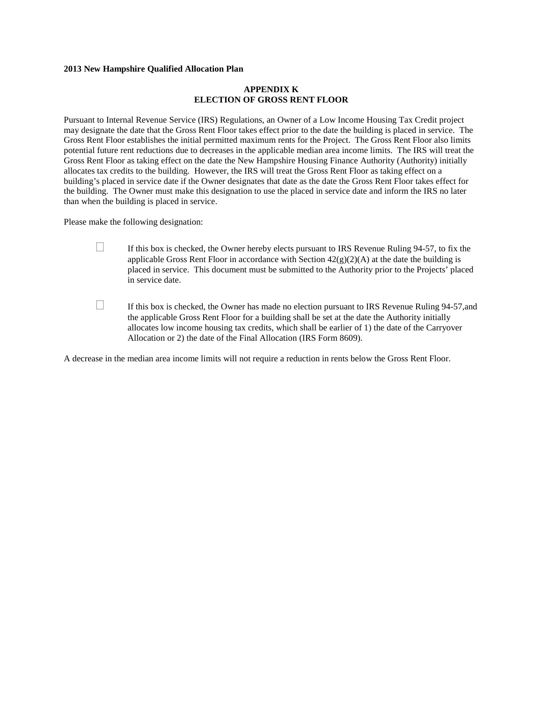### **APPENDIX K ELECTION OF GROSS RENT FLOOR**

Pursuant to Internal Revenue Service (IRS) Regulations, an Owner of a Low Income Housing Tax Credit project may designate the date that the Gross Rent Floor takes effect prior to the date the building is placed in service. The Gross Rent Floor establishes the initial permitted maximum rents for the Project. The Gross Rent Floor also limits potential future rent reductions due to decreases in the applicable median area income limits. The IRS will treat the Gross Rent Floor as taking effect on the date the New Hampshire Housing Finance Authority (Authority) initially allocates tax credits to the building. However, the IRS will treat the Gross Rent Floor as taking effect on a building's placed in service date if the Owner designates that date as the date the Gross Rent Floor takes effect for the building. The Owner must make this designation to use the placed in service date and inform the IRS no later than when the building is placed in service.

Please make the following designation:

- $\Box$  If this box is checked, the Owner hereby elects pursuant to IRS Revenue Ruling 94-57, to fix the applicable Gross Rent Floor in accordance with Section  $42(g)(2)(A)$  at the date the building is placed in service. This document must be submitted to the Authority prior to the Projects' placed in service date.
- $\Box$  If this box is checked, the Owner has made no election pursuant to IRS Revenue Ruling 94-57, and the applicable Gross Rent Floor for a building shall be set at the date the Authority initially allocates low income housing tax credits, which shall be earlier of 1) the date of the Carryover Allocation or 2) the date of the Final Allocation (IRS Form 8609).

A decrease in the median area income limits will not require a reduction in rents below the Gross Rent Floor.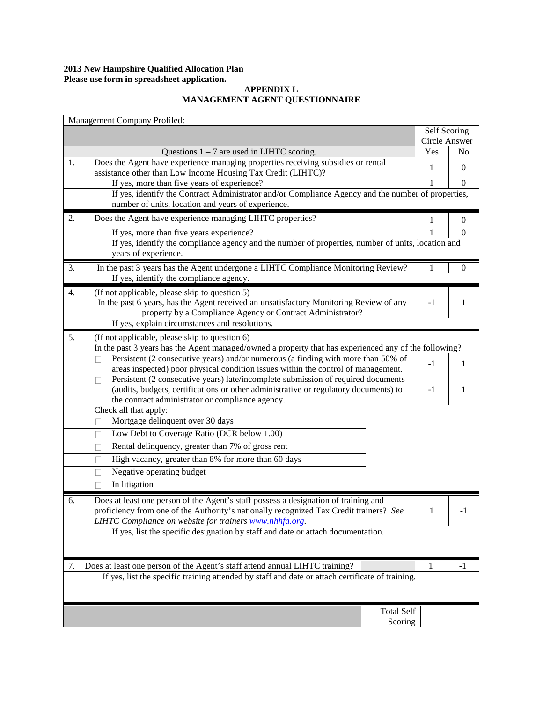### **2013 New Hampshire Qualified Allocation Plan Please use form in spreadsheet application.**

## **APPENDIX L MANAGEMENT AGENT QUESTIONNAIRE**

| Management Company Profiled:                                                                                                                                                        |               |                  |
|-------------------------------------------------------------------------------------------------------------------------------------------------------------------------------------|---------------|------------------|
|                                                                                                                                                                                     | Self Scoring  |                  |
|                                                                                                                                                                                     | Circle Answer |                  |
| Questions $1 - 7$ are used in LIHTC scoring.                                                                                                                                        | Yes           | N <sub>0</sub>   |
| Does the Agent have experience managing properties receiving subsidies or rental<br>1.<br>assistance other than Low Income Housing Tax Credit (LIHTC)?                              | 1             | $\boldsymbol{0}$ |
| If yes, more than five years of experience?                                                                                                                                         | 1             | $\theta$         |
| If yes, identify the Contract Administrator and/or Compliance Agency and the number of properties,                                                                                  |               |                  |
| number of units, location and years of experience.                                                                                                                                  |               |                  |
| 2.<br>Does the Agent have experience managing LIHTC properties?                                                                                                                     | 1             | $\boldsymbol{0}$ |
| If yes, more than five years experience?                                                                                                                                            |               | $\theta$         |
| If yes, identify the compliance agency and the number of properties, number of units, location and<br>years of experience.                                                          |               |                  |
| In the past 3 years has the Agent undergone a LIHTC Compliance Monitoring Review?<br>3.                                                                                             | 1             | 0                |
| If yes, identify the compliance agency.                                                                                                                                             |               |                  |
| (If not applicable, please skip to question 5)<br>4.                                                                                                                                |               |                  |
| In the past 6 years, has the Agent received an <i>unsatisfactory</i> Monitoring Review of any                                                                                       | $-1$          | 1                |
| property by a Compliance Agency or Contract Administrator?                                                                                                                          |               |                  |
| If yes, explain circumstances and resolutions.                                                                                                                                      |               |                  |
| 5.<br>(If not applicable, please skip to question 6)                                                                                                                                |               |                  |
| In the past 3 years has the Agent managed/owned a property that has experienced any of the following?                                                                               |               |                  |
| Persistent (2 consecutive years) and/or numerous (a finding with more than 50% of<br>П                                                                                              | $-1$          | 1                |
| areas inspected) poor physical condition issues within the control of management.                                                                                                   |               |                  |
| Persistent (2 consecutive years) late/incomplete submission of required documents<br>П                                                                                              |               |                  |
| (audits, budgets, certifications or other administrative or regulatory documents) to                                                                                                | $-1$          | 1                |
| the contract administrator or compliance agency.<br>Check all that apply:                                                                                                           |               |                  |
| Mortgage delinquent over 30 days                                                                                                                                                    |               |                  |
| Low Debt to Coverage Ratio (DCR below 1.00)                                                                                                                                         |               |                  |
| П                                                                                                                                                                                   |               |                  |
| Rental delinquency, greater than 7% of gross rent<br>П                                                                                                                              |               |                  |
| High vacancy, greater than 8% for more than $60 \text{ days}$<br>н                                                                                                                  |               |                  |
| Negative operating budget<br>Ш                                                                                                                                                      |               |                  |
| In litigation<br>$\Box$                                                                                                                                                             |               |                  |
| Does at least one person of the Agent's staff possess a designation of training and<br>6.<br>proficiency from one of the Authority's nationally recognized Tax Credit trainers? See |               |                  |
| LIHTC Compliance on website for trainers www.nhhfa.org.                                                                                                                             |               |                  |
| If yes, list the specific designation by staff and date or attach documentation.                                                                                                    |               |                  |
|                                                                                                                                                                                     |               |                  |
| Does at least one person of the Agent's staff attend annual LIHTC training?<br>7.                                                                                                   | 1             | -1               |
| If yes, list the specific training attended by staff and date or attach certificate of training.                                                                                    |               |                  |
|                                                                                                                                                                                     |               |                  |
| <b>Total Self</b>                                                                                                                                                                   |               |                  |
| Scoring                                                                                                                                                                             |               |                  |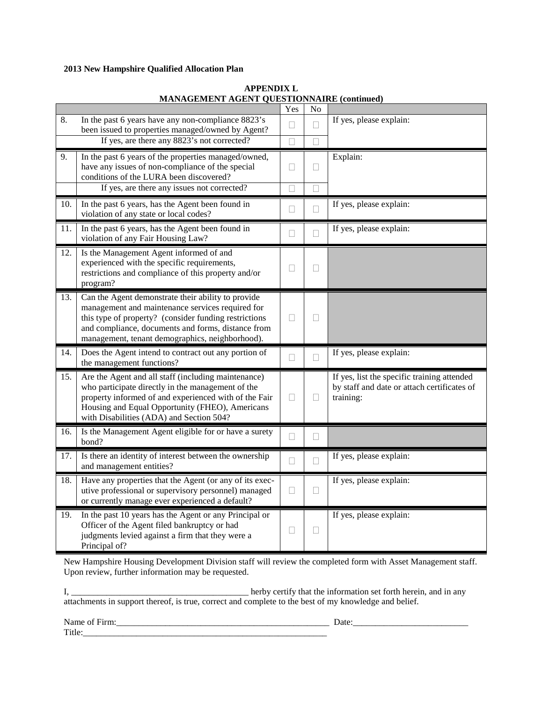|     | WITH WORMENT AGENT QUESTION WITH (COMMUNIC                                                                                                                                                                                                                               | Yes    | No                |                                                                                                         |
|-----|--------------------------------------------------------------------------------------------------------------------------------------------------------------------------------------------------------------------------------------------------------------------------|--------|-------------------|---------------------------------------------------------------------------------------------------------|
| 8.  | In the past 6 years have any non-compliance 8823's<br>been issued to properties managed/owned by Agent?                                                                                                                                                                  | Ш      | П                 | If yes, please explain:                                                                                 |
|     | If yes, are there any 8823's not corrected?                                                                                                                                                                                                                              | П      | $\Box$            |                                                                                                         |
| 9.  | In the past 6 years of the properties managed/owned,<br>have any issues of non-compliance of the special<br>conditions of the LURA been discovered?<br>If yes, are there any issues not corrected?                                                                       | Н      | $\vert \ \ \vert$ | Explain:                                                                                                |
| 10. | In the past 6 years, has the Agent been found in<br>violation of any state or local codes?                                                                                                                                                                               | $\Box$ | $\mathbf{L}$<br>П | If yes, please explain:                                                                                 |
| 11. | In the past 6 years, has the Agent been found in<br>violation of any Fair Housing Law?                                                                                                                                                                                   | □      | П                 | If yes, please explain:                                                                                 |
| 12. | Is the Management Agent informed of and<br>experienced with the specific requirements,<br>restrictions and compliance of this property and/or<br>program?                                                                                                                | Н      | $\vert \ \ \vert$ |                                                                                                         |
| 13. | Can the Agent demonstrate their ability to provide<br>management and maintenance services required for<br>this type of property? (consider funding restrictions<br>and compliance, documents and forms, distance from<br>management, tenant demographics, neighborhood). | Н      | Н                 |                                                                                                         |
| 14. | Does the Agent intend to contract out any portion of<br>the management functions?                                                                                                                                                                                        | П      | П                 | If yes, please explain:                                                                                 |
| 15. | Are the Agent and all staff (including maintenance)<br>who participate directly in the management of the<br>property informed of and experienced with of the Fair<br>Housing and Equal Opportunity (FHEO), Americans<br>with Disabilities (ADA) and Section 504?         | Ш      | Н                 | If yes, list the specific training attended<br>by staff and date or attach certificates of<br>training: |
| 16. | Is the Management Agent eligible for or have a surety<br>bond?                                                                                                                                                                                                           | $\Box$ | $\Box$            |                                                                                                         |
| 17. | Is there an identity of interest between the ownership<br>and management entities?                                                                                                                                                                                       | Ц      | П                 | If yes, please explain:                                                                                 |
| 18. | Have any properties that the Agent (or any of its exec-<br>utive professional or supervisory personnel) managed<br>or currently manage ever experienced a default?                                                                                                       | $\Box$ | $\Box$            | If yes, please explain:                                                                                 |
| 19. | In the past 10 years has the Agent or any Principal or<br>Officer of the Agent filed bankruptcy or had<br>judgments levied against a firm that they were a<br>Principal of?                                                                                              | Н      | $\vert \ \ \vert$ | If yes, please explain:                                                                                 |

## **APPENDIX L MANAGEMENT AGENT QUESTIONNAIRE (continued)**

New Hampshire Housing Development Division staff will review the completed form with Asset Management staff. Upon review, further information may be requested.

I, \_\_\_\_\_\_\_\_\_\_\_\_\_\_\_\_\_\_\_\_\_\_\_\_\_\_\_\_\_\_\_\_\_\_\_\_\_\_\_\_ herby certify that the information set forth herein, and in any attachments in support thereof, is true, correct and complete to the best of my knowledge and belief.

Name of Firm:\_\_\_\_\_\_\_\_\_\_\_\_\_\_\_\_\_\_\_\_\_\_\_\_\_\_\_\_\_\_\_\_\_\_\_\_\_\_\_\_\_\_\_\_\_\_\_\_ Date:\_\_\_\_\_\_\_\_\_\_\_\_\_\_\_\_\_\_\_\_\_\_\_\_\_\_

Title:\_\_\_\_\_\_\_\_\_\_\_\_\_\_\_\_\_\_\_\_\_\_\_\_\_\_\_\_\_\_\_\_\_\_\_\_\_\_\_\_\_\_\_\_\_\_\_\_\_\_\_\_\_\_\_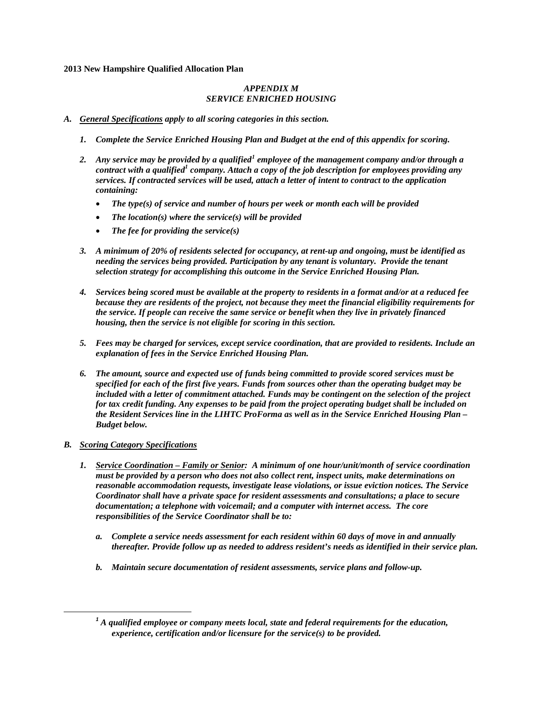## *APPENDIX M SERVICE ENRICHED HOUSING*

### *A. General Specifications apply to all scoring categories in this section.*

- *1. Complete the Service Enriched Housing Plan and Budget at the end of this appendix for scoring.*
- *2. Any service may be provided by a qualified[1](#page-13-0) employee of the management company and/or through a contract with a qualified<sup>1</sup> company. Attach a copy of the job description for employees providing any services. If contracted services will be used, attach a letter of intent to contract to the application containing:* 
	- *The type(s) of service and number of hours per week or month each will be provided*
	- *The location(s) where the service(s) will be provided*
	- *The fee for providing the service(s)*
- *3. A minimum of 20% of residents selected for occupancy, at rent-up and ongoing, must be identified as needing the services being provided. Participation by any tenant is voluntary. Provide the tenant selection strategy for accomplishing this outcome in the Service Enriched Housing Plan.*
- *4. Services being scored must be available at the property to residents in a format and/or at a reduced fee because they are residents of the project, not because they meet the financial eligibility requirements for the service. If people can receive the same service or benefit when they live in privately financed housing, then the service is not eligible for scoring in this section.*
- *5. Fees may be charged for services, except service coordination, that are provided to residents. Include an explanation of fees in the Service Enriched Housing Plan.*
- *6. The amount, source and expected use of funds being committed to provide scored services must be specified for each of the first five years. Funds from sources other than the operating budget may be included with a letter of commitment attached. Funds may be contingent on the selection of the project for tax credit funding. Any expenses to be paid from the project operating budget shall be included on the Resident Services line in the LIHTC ProForma as well as in the Service Enriched Housing Plan – Budget below.*

## *B. Scoring Category Specifications*

- *1. Service Coordination – Family or Senior: A minimum of one hour/unit/month of service coordination must be provided by a person who does not also collect rent, inspect units, make determinations on reasonable accommodation requests, investigate lease violations, or issue eviction notices. The Service Coordinator shall have a private space for resident assessments and consultations; a place to secure documentation; a telephone with voicemail; and a computer with internet access. The core responsibilities of the Service Coordinator shall be to:*
	- *a. Complete a service needs assessment for each resident within 60 days of move in and annually thereafter. Provide follow up as needed to address resident's needs as identified in their service plan.*
	- *b. Maintain secure documentation of resident assessments, service plans and follow-up.*

<span id="page-13-0"></span>*<sup>1</sup> A qualified employee or company meets local, state and federal requirements for the education, experience, certification and/or licensure for the service(s) to be provided.*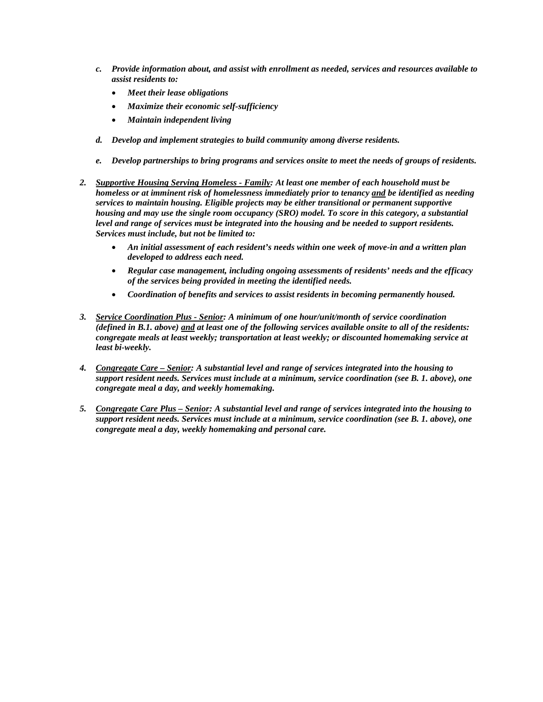- *c. Provide information about, and assist with enrollment as needed, services and resources available to assist residents to:*
	- *Meet their lease obligations*
	- *Maximize their economic self-sufficiency*
	- *Maintain independent living*
- *d. Develop and implement strategies to build community among diverse residents.*
- *e. Develop partnerships to bring programs and services onsite to meet the needs of groups of residents.*
- *2. Supportive Housing Serving Homeless - Family: At least one member of each household must be homeless or at imminent risk of homelessness immediately prior to tenancy and be identified as needing services to maintain housing. Eligible projects may be either transitional or permanent supportive housing and may use the single room occupancy (SRO) model. To score in this category, a substantial level and range of services must be integrated into the housing and be needed to support residents. Services must include, but not be limited to:*
	- *An initial assessment of each resident's needs within one week of move-in and a written plan developed to address each need.*
	- *Regular case management, including ongoing assessments of residents' needs and the efficacy of the services being provided in meeting the identified needs.*
	- *Coordination of benefits and services to assist residents in becoming permanently housed.*
- *3. Service Coordination Plus - Senior: A minimum of one hour/unit/month of service coordination (defined in B.1. above) and at least one of the following services available onsite to all of the residents: congregate meals at least weekly; transportation at least weekly; or discounted homemaking service at least bi-weekly.*
- *4. Congregate Care – Senior: A substantial level and range of services integrated into the housing to support resident needs. Services must include at a minimum, service coordination (see B. 1. above), one congregate meal a day, and weekly homemaking.*
- *5. Congregate Care Plus – Senior: A substantial level and range of services integrated into the housing to support resident needs. Services must include at a minimum, service coordination (see B. 1. above), one congregate meal a day, weekly homemaking and personal care.*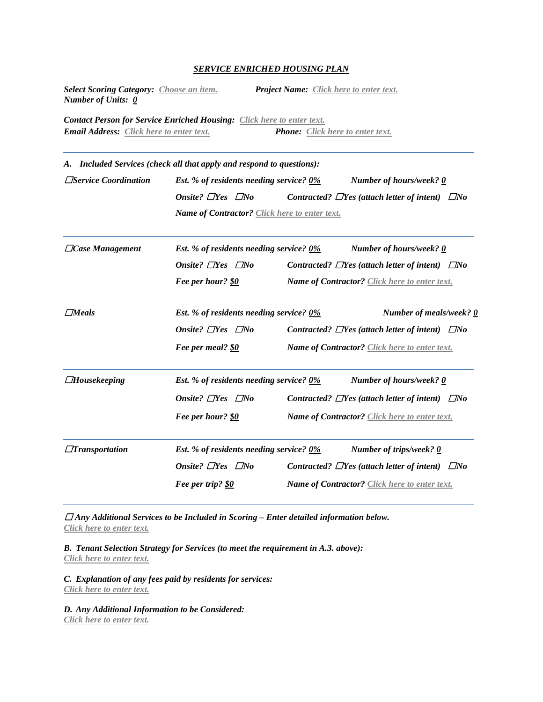### *SERVICE ENRICHED HOUSING PLAN*

*Select Scoring Category: Choose an item. Project Name: Click here to enter text. Number of Units: 0*

*Contact Person for Service Enriched Housing: Click here to enter text. Email Address: Click here to enter text. Phone: Click here to enter text.*

*A. Included Services (check all that apply and respond to questions):*  ☐*Service Coordination Est. % of residents needing service? 0% Number of hours/week? 0 Onsite?* ☐*Yes* ☐*No Contracted?* ☐*Yes (attach letter of intent)* ☐*No Name of Contractor? Click here to enter text.*

| $\Box$ Case Management | Est. % of residents needing service? $0\%$ | Number of hours/week? 0                                    |
|------------------------|--------------------------------------------|------------------------------------------------------------|
|                        | Onsite? $\Box$ Yes $\Box$ No               | Contracted? $\Box$ Yes (attach letter of intent) $\Box$ No |
|                        | Fee per hour? \$0                          | <b>Name of Contractor?</b> Click here to enter text.       |
| $\Box$ <i>Meals</i>    | Est. % of residents needing service? 0%    | Number of meals/week? 0                                    |
|                        | Onsite? $\Box$ Yes $\Box$ No               | Contracted? $\Box$ Yes (attach letter of intent) $\Box$ No |
|                        | Fee per meal? <u>\$0</u>                   | <b>Name of Contractor?</b> Click here to enter text.       |
| $\Box$ Housekeeping    | Est. % of residents needing service? 0%    | Number of hours/week? 0                                    |
|                        | Onsite? $\Box$ Yes $\Box$ No               | Contracted? $\Box$ Yes (attach letter of intent) $\Box$ No |
|                        | Fee per hour? \$0                          | <b>Name of Contractor?</b> Click here to enter text.       |
| $\Box$ Transportation  | Est. % of residents needing service? $0\%$ | Number of trips/week? 0                                    |
|                        | Onsite? $\Box$ Yes $\Box$ No               | Contracted? $\Box$ Yes (attach letter of intent) $\Box$ No |
|                        | Fee per trip? \$0                          | <b>Name of Contractor?</b> Click here to enter text.       |

☐ *Any Additional Services to be Included in Scoring – Enter detailed information below. Click here to enter text.*

*B. Tenant Selection Strategy for Services (to meet the requirement in A.3. above): Click here to enter text.*

*C. Explanation of any fees paid by residents for services: Click here to enter text.*

*D. Any Additional Information to be Considered: Click here to enter text.*